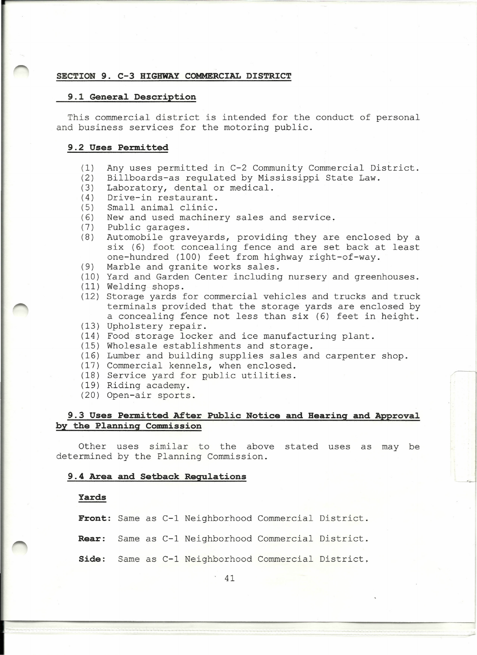### **SECTION 9. C-3 HIGHWAY COMMERCIAL DISTRICT**

#### **9.1 General Description**

This commercial district is intended for the conduct of personal and business services for the motoring public.

#### **9.2 Uses Permitted**

- (1) Any uses permitted in C-2 Community Commercial District.
- (2) Billboards-as regulated by Mississippi State Law.
- (3) Laboratory, dental or medical.
- (4) Drive-in restaurant.
- (5) Small animal clinic.
- (6) New and used machinery sales and service.<br>(7) Public garages.
- Public garages.
- (8) Automobile graveyards, providing they are enclosed by a six (6) foot concealing fence and are set back at least one-hundred (100) feet from highway right-of-way.
- (9) Marble and granite works sales.
- (10) Yard and Garden Center including nursery and greenhouses.
- (11) Welding shops.
- (12) Storage yards for commercial vehicles and trucks and truck terminals provided that the storage yards are enclosed by a concealing fence not less than six (6) feet in height.
- (13) Upholstery repair.
- (14) Food storage locker and ice manufacturing plant.
- (15) Wholesale establishments and storage.
- (16) Lumber and building supplies sales and carpenter shop.
- (17) Commercial kennels, when enclosed.
- (18) Service yard for public utilities.
- (19) Riding academy.
- (20) Open-air sports.

### **9.3 Uses Per.mitted After Public Notice and Hearing and Approval by the Planning Commission**

Other uses similar to the above stated uses as may be determined by the Planning Commission.

#### **9.4 Area and Setback Regulations**

#### **Yards**

**Front:** Same as C-1 Neighborhood Commercial District.

- **Rear:** Same as C-1 Neighborhood Commercial District.
- **Side:** Same as C-1 Neighborhood Commercial District.